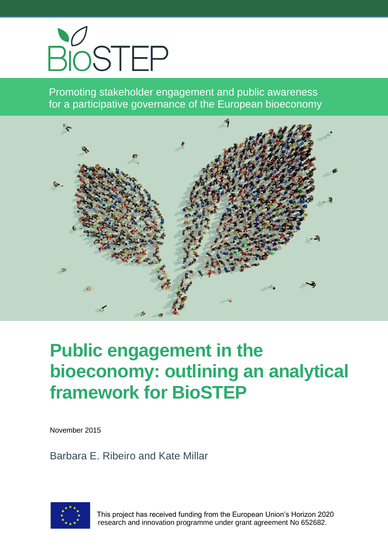

Promoting stakeholder engagement and public awareness for a participative governance of the European bioeconomy



# **Public engagement in the bioeconomy: outlining an analytical framework for BioSTEP**

November 2015

Barbara E. Ribeiro and Kate Millar



 This project has received funding from the European Union's Horizon 2020 research and innovation programme under grant agreement No 652682.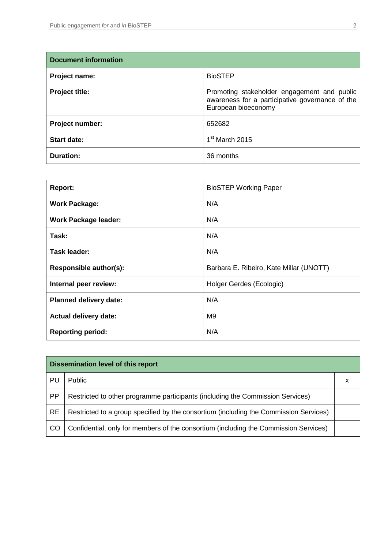| <b>Document information</b> |                                                                                                                       |  |
|-----------------------------|-----------------------------------------------------------------------------------------------------------------------|--|
| Project name:               | <b>BioSTEP</b>                                                                                                        |  |
| <b>Project title:</b>       | Promoting stakeholder engagement and public<br>awareness for a participative governance of the<br>European bioeconomy |  |
| Project number:             | 652682                                                                                                                |  |
| <b>Start date:</b>          | $1st$ March 2015                                                                                                      |  |
| <b>Duration:</b>            | 36 months                                                                                                             |  |

| <b>Report:</b>                | <b>BioSTEP Working Paper</b>            |
|-------------------------------|-----------------------------------------|
| <b>Work Package:</b>          | N/A                                     |
| <b>Work Package leader:</b>   | N/A                                     |
| Task:                         | N/A                                     |
| Task leader:                  | N/A                                     |
| Responsible author(s):        | Barbara E. Ribeiro, Kate Millar (UNOTT) |
| Internal peer review:         | Holger Gerdes (Ecologic)                |
| <b>Planned delivery date:</b> | N/A                                     |
| <b>Actual delivery date:</b>  | M <sub>9</sub>                          |
| <b>Reporting period:</b>      | N/A                                     |

| <b>Dissemination level of this report</b> |                                                                                       |   |
|-------------------------------------------|---------------------------------------------------------------------------------------|---|
| PU                                        | Public                                                                                | х |
| <b>PP</b>                                 | Restricted to other programme participants (including the Commission Services)        |   |
| <b>RE</b>                                 | Restricted to a group specified by the consortium (including the Commission Services) |   |
| <sub>CO</sub>                             | Confidential, only for members of the consortium (including the Commission Services)  |   |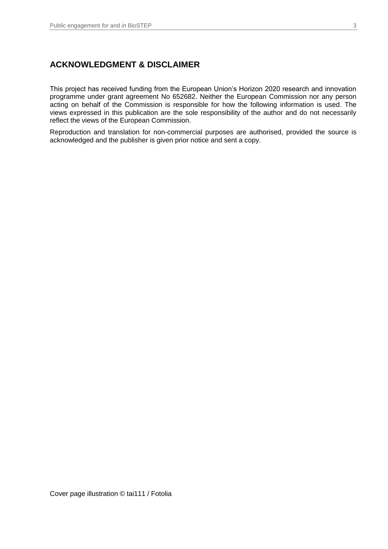#### **ACKNOWLEDGMENT & DISCLAIMER**

This project has received funding from the European Union's Horizon 2020 research and innovation programme under grant agreement No 652682. Neither the European Commission nor any person acting on behalf of the Commission is responsible for how the following information is used. The views expressed in this publication are the sole responsibility of the author and do not necessarily reflect the views of the European Commission.

Reproduction and translation for non-commercial purposes are authorised, provided the source is acknowledged and the publisher is given prior notice and sent a copy.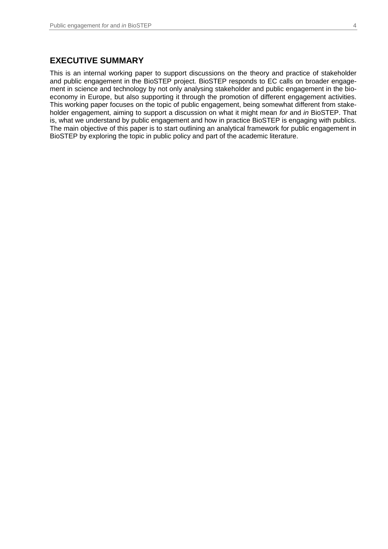This is an internal working paper to support discussions on the theory and practice of stakeholder and public engagement in the BioSTEP project. BioSTEP responds to EC calls on broader engagement in science and technology by not only analysing stakeholder and public engagement in the bioeconomy in Europe, but also supporting it through the promotion of different engagement activities. This working paper focuses on the topic of public engagement, being somewhat different from stakeholder engagement, aiming to support a discussion on what it might mean *for* and *in* BioSTEP. That is, what we understand by public engagement and how in practice BioSTEP is engaging with publics. The main objective of this paper is to start outlining an analytical framework for public engagement in BioSTEP by exploring the topic in public policy and part of the academic literature.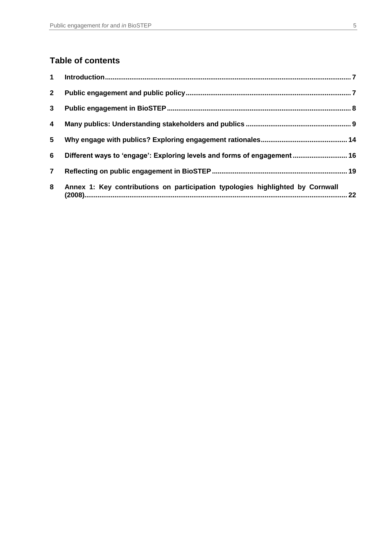## **Table of contents**

| 1              |                                                                                |  |
|----------------|--------------------------------------------------------------------------------|--|
| $\mathbf{2}$   |                                                                                |  |
| $\mathbf{3}$   |                                                                                |  |
| 4              |                                                                                |  |
| 5              |                                                                                |  |
| 6              | Different ways to 'engage': Exploring levels and forms of engagement 16        |  |
| $\overline{7}$ |                                                                                |  |
| 8              | Annex 1: Key contributions on participation typologies highlighted by Cornwall |  |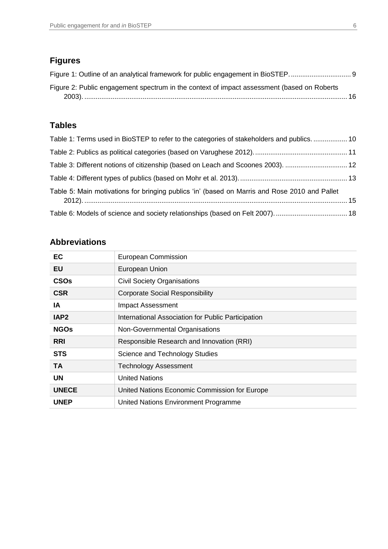# **Figures**

| Figure 1: Outline of an analytical framework for public engagement in BioSTEP              |  |
|--------------------------------------------------------------------------------------------|--|
| Figure 2: Public engagement spectrum in the context of impact assessment (based on Roberts |  |
|                                                                                            |  |

# **Tables**

| Table 1: Terms used in BioSTEP to refer to the categories of stakeholders and publics 10      |  |
|-----------------------------------------------------------------------------------------------|--|
|                                                                                               |  |
| Table 3: Different notions of citizenship (based on Leach and Scoones 2003).  12              |  |
|                                                                                               |  |
| Table 5: Main motivations for bringing publics 'in' (based on Marris and Rose 2010 and Pallet |  |
|                                                                                               |  |

## **Abbreviations**

| EC               | European Commission                                |  |
|------------------|----------------------------------------------------|--|
| EU               | European Union                                     |  |
| <b>CSOs</b>      | <b>Civil Society Organisations</b>                 |  |
| <b>CSR</b>       | <b>Corporate Social Responsibility</b>             |  |
| IA               | Impact Assessment                                  |  |
| IAP <sub>2</sub> | International Association for Public Participation |  |
| <b>NGOs</b>      | Non-Governmental Organisations                     |  |
| <b>RRI</b>       | Responsible Research and Innovation (RRI)          |  |
| <b>STS</b>       | Science and Technology Studies                     |  |
| <b>TA</b>        | <b>Technology Assessment</b>                       |  |
| <b>UN</b>        | <b>United Nations</b>                              |  |
| <b>UNECE</b>     | United Nations Economic Commission for Europe      |  |
| <b>UNEP</b>      | United Nations Environment Programme               |  |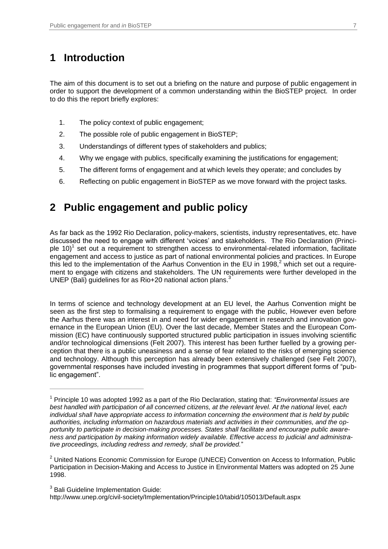# <span id="page-6-0"></span>**1 Introduction**

The aim of this document is to set out a briefing on the nature and purpose of public engagement in order to support the development of a common understanding within the BioSTEP project. In order to do this the report briefly explores:

- 1. The policy context of public engagement;
- 2. The possible role of public engagement in BioSTEP;
- 3. Understandings of different types of stakeholders and publics;
- 4. Why we engage with publics, specifically examining the justifications for engagement;
- 5. The different forms of engagement and at which levels they operate; and concludes by
- 6. Reflecting on public engagement in BioSTEP as we move forward with the project tasks.

## <span id="page-6-1"></span>**2 Public engagement and public policy**

As far back as the 1992 Rio Declaration, policy-makers, scientists, industry representatives, etc. have discussed the need to engage with different 'voices' and stakeholders. The Rio Declaration (Principle 10)<sup>1</sup> set out a requirement to strengthen access to environmental-related information, facilitate engagement and access to justice as part of national environmental policies and practices. In Europe this led to the implementation of the Aarhus Convention in the EU in 1998,<sup>2</sup> which set out a requirement to engage with citizens and stakeholders. The UN requirements were further developed in the UNEP (Bali) guidelines for as Rio+20 national action plans. $3$ 

In terms of science and technology development at an EU level, the Aarhus Convention might be seen as the first step to formalising a requirement to engage with the public, However even before the Aarhus there was an interest in and need for wider engagement in research and innovation governance in the European Union (EU). Over the last decade, Member States and the European Commission (EC) have continuously supported structured public participation in issues involving scientific and/or technological dimensions (Felt 2007). This interest has been further fuelled by a growing perception that there is a public uneasiness and a sense of fear related to the risks of emerging science and technology. Although this perception has already been extensively challenged (see Felt 2007), governmental responses have included investing in programmes that support different forms of "public engagement".

<sup>3</sup> Bali Guideline Implementation Guide:

 $\overline{a}$ 

http://www.unep.org/civil-society/Implementation/Principle10/tabid/105013/Default.aspx

<sup>1</sup> Principle 10 was adopted 1992 as a part of the Rio Declaration, stating that: *"Environmental issues are best handled with participation of all concerned citizens, at the relevant level. At the national level, each individual shall have appropriate access to information concerning the environment that is held by public authorities, including information on hazardous materials and activities in their communities, and the opportunity to participate in decision-making processes. States shall facilitate and encourage public awareness and participation by making information widely available. Effective access to judicial and administrative proceedings, including redress and remedy, shall be provided.*"

 $2$  United Nations Economic Commission for Europe (UNECE) Convention on Access to Information, Public Participation in Decision-Making and Access to Justice in Environmental Matters was adopted on 25 June 1998.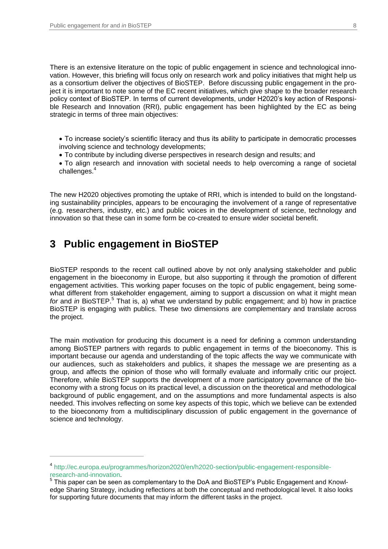There is an extensive literature on the topic of public engagement in science and technological innovation. However, this briefing will focus only on research work and policy initiatives that might help us as a consortium deliver the objectives of BioSTEP. Before discussing public engagement in the project it is important to note some of the EC recent initiatives, which give shape to the broader research policy context of BioSTEP. In terms of current developments, under H2020's key action of Responsible Research and Innovation (RRI), public engagement has been highlighted by the EC as being strategic in terms of three main objectives:

- To increase society's scientific literacy and thus its ability to participate in democratic processes involving science and technology developments;
- To contribute by including diverse perspectives in research design and results; and
- To align research and innovation with societal needs to help overcoming a range of societal challenges.<sup>4</sup>

The new H2020 objectives promoting the uptake of RRI, which is intended to build on the longstanding sustainability principles, appears to be encouraging the involvement of a range of representative (e.g. researchers, industry, etc.) and public voices in the development of science, technology and innovation so that these can in some form be co-created to ensure wider societal benefit.

## <span id="page-7-0"></span>**3 Public engagement in BioSTEP**

 $\overline{a}$ 

BioSTEP responds to the recent call outlined above by not only analysing stakeholder and public engagement in the bioeconomy in Europe, but also supporting it through the promotion of different engagement activities. This working paper focuses on the topic of public engagement, being somewhat different from stakeholder engagement, aiming to support a discussion on what it might mean for and *in* BioSTEP.<sup>5</sup> That is, a) what we understand by public engagement; and b) how in practice BioSTEP is engaging with publics. These two dimensions are complementary and translate across the project.

The main motivation for producing this document is a need for defining a common understanding among BioSTEP partners with regards to public engagement in terms of the bioeconomy. This is important because our agenda and understanding of the topic affects the way we communicate with our audiences, such as stakeholders and publics, it shapes the message we are presenting as a group, and affects the opinion of those who will formally evaluate and informally critic our project. Therefore, while BioSTEP supports the development of a more participatory governance of the bioeconomy with a strong focus on its practical level, a discussion on the theoretical and methodological background of public engagement, and on the assumptions and more fundamental aspects is also needed. This involves reflecting on some key aspects of this topic, which we believe can be extended to the bioeconomy from a multidisciplinary discussion of public engagement in the governance of science and technology.

<sup>4</sup> [http://ec.europa.eu/programmes/horizon2020/en/h2020-section/public-engagement-responsible](https://ec.europa.eu/programmes/horizon2020/en/h2020-section/public-engagement-responsible-research-and-innovation)[research-and-innovation.](https://ec.europa.eu/programmes/horizon2020/en/h2020-section/public-engagement-responsible-research-and-innovation)

 $<sup>5</sup>$  This paper can be seen as complementary to the DoA and BioSTEP's Public Engagement and Knowl-</sup> edge Sharing Strategy, including reflections at both the conceptual and methodological level. It also looks for supporting future documents that may inform the different tasks in the project.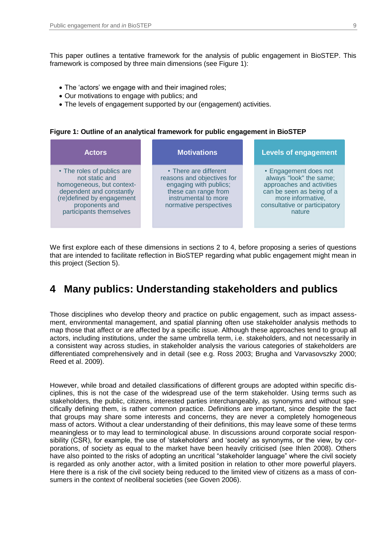This paper outlines a tentative framework for the analysis of public engagement in BioSTEP. This framework is composed by three main dimensions (see Figure 1):

- The 'actors' we engage with and their imagined roles;
- Our motivations to engage with publics; and
- The levels of engagement supported by our (engagement) activities.

#### **Figure 1: Outline of an analytical framework for public engagement in BioSTEP**

| <b>Actors</b>                                                                                                                                                                   | <b>Motivations</b>                                                                                                                                      | <b>Levels of engagement</b>                                                                                                                                                |
|---------------------------------------------------------------------------------------------------------------------------------------------------------------------------------|---------------------------------------------------------------------------------------------------------------------------------------------------------|----------------------------------------------------------------------------------------------------------------------------------------------------------------------------|
| • The roles of publics are<br>not static and<br>homogeneous, but context-<br>dependent and constantly<br>(re)defined by engagement<br>proponents and<br>participants themselves | • There are different<br>reasons and objectives for<br>engaging with publics;<br>these can range from<br>instrumental to more<br>normative perspectives | • Engagement does not<br>always "look" the same;<br>approaches and activities<br>can be seen as being of a<br>more informative,<br>consultative or participatory<br>nature |

We first explore each of these dimensions in sections 2 to 4, before proposing a series of questions that are intended to facilitate reflection in BioSTEP regarding what public engagement might mean in this project (Section 5).

### <span id="page-8-0"></span>**4 Many publics: Understanding stakeholders and publics**

Those disciplines who develop theory and practice on public engagement, such as impact assessment, environmental management, and spatial planning often use stakeholder analysis methods to map those that affect or are affected by a specific issue. Although these approaches tend to group all actors, including institutions, under the same umbrella term, i.e. stakeholders, and not necessarily in a consistent way across studies, in stakeholder analysis the various categories of stakeholders are differentiated comprehensively and in detail (see e.g. Ross 2003; Brugha and Varvasovszky 2000; Reed et al. 2009).

However, while broad and detailed classifications of different groups are adopted within specific disciplines, this is not the case of the widespread use of the term stakeholder. Using terms such as stakeholders, the public, citizens, interested parties interchangeably, as synonyms and without specifically defining them, is rather common practice. Definitions are important, since despite the fact that groups may share some interests and concerns, they are never a completely homogeneous mass of actors. Without a clear understanding of their definitions, this may leave some of these terms meaningless or to may lead to terminological abuse. In discussions around corporate social responsibility (CSR), for example, the use of 'stakeholders' and 'society' as synonyms, or the view, by corporations, of society as equal to the market have been heavily criticised (see Ihlen 2008). Others have also pointed to the risks of adopting an uncritical "stakeholder language" where the civil society is regarded as only another actor, with a limited position in relation to other more powerful players. Here there is a risk of the civil society being reduced to the limited view of citizens as a mass of consumers in the context of neoliberal societies (see Goven 2006).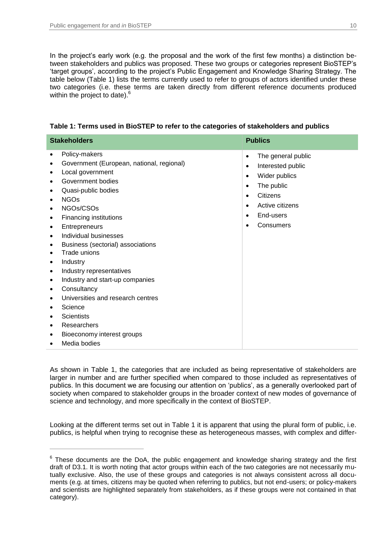$\overline{a}$ 

In the project's early work (e.g. the proposal and the work of the first few months) a distinction between stakeholders and publics was proposed. These two groups or categories represent BioSTEP's 'target groups', according to the project's Public Engagement and Knowledge Sharing Strategy. The table below (Table 1) lists the terms currently used to refer to groups of actors identified under these two categories (i.e. these terms are taken directly from different reference documents produced within the project to date).<sup>6</sup>

| <b>Stakeholders</b>                                                                                                                                                                                                                                                                                                                                                                                                                                                                                                                                                                                       | <b>Publics</b>                                                                                                                                                                                                                                 |  |
|-----------------------------------------------------------------------------------------------------------------------------------------------------------------------------------------------------------------------------------------------------------------------------------------------------------------------------------------------------------------------------------------------------------------------------------------------------------------------------------------------------------------------------------------------------------------------------------------------------------|------------------------------------------------------------------------------------------------------------------------------------------------------------------------------------------------------------------------------------------------|--|
| Policy-makers<br>٠<br>Government (European, national, regional)<br>٠<br>Local government<br>Government bodies<br>Quasi-public bodies<br><b>NGOs</b><br>٠<br>NGOs/CSOs<br>٠<br>Financing institutions<br>٠<br>Entrepreneurs<br>٠<br>Individual businesses<br>$\bullet$<br>Business (sectorial) associations<br>٠<br>Trade unions<br>Industry<br>٠<br>Industry representatives<br>$\bullet$<br>Industry and start-up companies<br>$\bullet$<br>Consultancy<br>٠<br>Universities and research centres<br>Science<br><b>Scientists</b><br>Researchers<br>٠<br>Bioeconomy interest groups<br>Media bodies<br>٠ | The general public<br>$\bullet$<br>Interested public<br>$\bullet$<br>Wider publics<br>$\bullet$<br>The public<br>$\bullet$<br><b>Citizens</b><br>$\bullet$<br>Active citizens<br>$\bullet$<br>End-users<br>$\bullet$<br>Consumers<br>$\bullet$ |  |

**Table 1: Terms used in BioSTEP to refer to the categories of stakeholders and publics**

As shown in Table 1, the categories that are included as being representative of stakeholders are larger in number and are further specified when compared to those included as representatives of publics. In this document we are focusing our attention on 'publics', as a generally overlooked part of society when compared to stakeholder groups in the broader context of new modes of governance of science and technology, and more specifically in the context of BioSTEP.

Looking at the different terms set out in Table 1 it is apparent that using the plural form of public, i.e. publics, is helpful when trying to recognise these as heterogeneous masses, with complex and differ-

 $6$  These documents are the DoA, the public engagement and knowledge sharing strategy and the first draft of D3.1. It is worth noting that actor groups within each of the two categories are not necessarily mutually exclusive. Also, the use of these groups and categories is not always consistent across all documents (e.g. at times, citizens may be quoted when referring to publics, but not end-users; or policy-makers and scientists are highlighted separately from stakeholders, as if these groups were not contained in that category).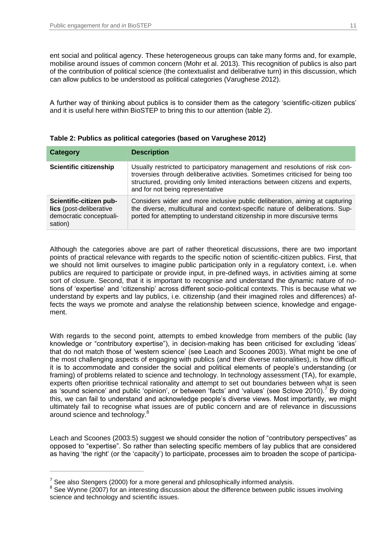ent social and political agency. These heterogeneous groups can take many forms and, for example, mobilise around issues of common concern (Mohr et al. 2013). This recognition of publics is also part of the contribution of political science (the contextualist and deliberative turn) in this discussion, which can allow publics to be understood as political categories (Varughese 2012).

A further way of thinking about publics is to consider them as the category 'scientific-citizen publics' and it is useful here within BioSTEP to bring this to our attention (table 2).

| <b>Category</b>                                                                          | <b>Description</b>                                                                                                                                                                                                                                                                 |
|------------------------------------------------------------------------------------------|------------------------------------------------------------------------------------------------------------------------------------------------------------------------------------------------------------------------------------------------------------------------------------|
| <b>Scientific citizenship</b>                                                            | Usually restricted to participatory management and resolutions of risk con-<br>troversies through deliberative activities. Sometimes criticised for being too<br>structured, providing only limited interactions between citizens and experts,<br>and for not being representative |
| Scientific-citizen pub-<br>lics (post-deliberative<br>democratic conceptuali-<br>sation) | Considers wider and more inclusive public deliberation, aiming at capturing<br>the diverse, multicultural and context-specific nature of deliberations. Sup-<br>ported for attempting to understand citizenship in more discursive terms                                           |

**Table 2: Publics as political categories (based on Varughese 2012)**

Although the categories above are part of rather theoretical discussions, there are two important points of practical relevance with regards to the specific notion of scientific-citizen publics. First, that we should not limit ourselves to imagine public participation only in a regulatory context, i.e. when publics are required to participate or provide input, in pre-defined ways, in activities aiming at some sort of closure. Second, that it is important to recognise and understand the dynamic nature of notions of 'expertise' and 'citizenship' across different socio-political contexts. This is because what we understand by experts and lay publics, i.e. citizenship (and their imagined roles and differences) affects the ways we promote and analyse the relationship between science, knowledge and engagement.

With regards to the second point, attempts to embed knowledge from members of the public (lay knowledge or "contributory expertise"), in decision-making has been criticised for excluding 'ideas' that do not match those of 'western science' (see Leach and Scoones 2003). What might be one of the most challenging aspects of engaging with publics (and their diverse rationalities), is how difficult it is to accommodate and consider the social and political elements of people's understanding (or framing) of problems related to science and technology. In technology assessment (TA), for example, experts often prioritise technical rationality and attempt to set out boundaries between what is seen as 'sound science' and public 'opinion', or between 'facts' and 'values' (see Sclove 2010).<sup>7</sup> By doing this, we can fail to understand and acknowledge people's diverse views. Most importantly, we might ultimately fail to recognise what issues are of public concern and are of relevance in discussions around science and technology.<sup>8</sup>

Leach and Scoones (2003:5) suggest we should consider the notion of "contributory perspectives" as opposed to "expertise". So rather than selecting specific members of lay publics that are considered as having 'the right' (or the 'capacity') to participate, processes aim to broaden the scope of participa-

 $\overline{a}$ 

 $^7$  See also Stengers (2000) for a more general and philosophically informed analysis.

<sup>&</sup>lt;sup>8</sup> See Wynne (2007) for an interesting discussion about the difference between public issues involving science and technology and scientific issues.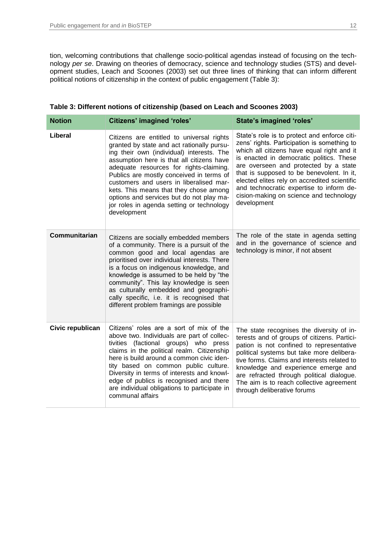tion, welcoming contributions that challenge socio-political agendas instead of focusing on the technology *per se*. Drawing on theories of democracy, science and technology studies (STS) and development studies, Leach and Scoones (2003) set out three lines of thinking that can inform different political notions of citizenship in the context of public engagement (Table 3):

| <b>Notion</b>    | <b>Citizens' imagined 'roles'</b>                                                                                                                                                                                                                                                                                                                                                                                                                                     | <b>State's imagined 'roles'</b>                                                                                                                                                                                                                                                                                                                                                                                                   |
|------------------|-----------------------------------------------------------------------------------------------------------------------------------------------------------------------------------------------------------------------------------------------------------------------------------------------------------------------------------------------------------------------------------------------------------------------------------------------------------------------|-----------------------------------------------------------------------------------------------------------------------------------------------------------------------------------------------------------------------------------------------------------------------------------------------------------------------------------------------------------------------------------------------------------------------------------|
| Liberal          | Citizens are entitled to universal rights<br>granted by state and act rationally pursu-<br>ing their own (individual) interests. The<br>assumption here is that all citizens have<br>adequate resources for rights-claiming.<br>Publics are mostly conceived in terms of<br>customers and users in liberalised mar-<br>kets. This means that they chose among<br>options and services but do not play ma-<br>jor roles in agenda setting or technology<br>development | State's role is to protect and enforce citi-<br>zens' rights. Participation is something to<br>which all citizens have equal right and it<br>is enacted in democratic politics. These<br>are overseen and protected by a state<br>that is supposed to be benevolent. In it,<br>elected elites rely on accredited scientific<br>and technocratic expertise to inform de-<br>cision-making on science and technology<br>development |
| Communitarian    | Citizens are socially embedded members<br>of a community. There is a pursuit of the<br>common good and local agendas are<br>prioritised over individual interests. There<br>is a focus on indigenous knowledge, and<br>knowledge is assumed to be held by "the<br>community". This lay knowledge is seen<br>as culturally embedded and geographi-<br>cally specific, i.e. it is recognised that<br>different problem framings are possible                            | The role of the state in agenda setting<br>and in the governance of science and<br>technology is minor, if not absent                                                                                                                                                                                                                                                                                                             |
| Civic republican | Citizens' roles are a sort of mix of the<br>above two. Individuals are part of collec-<br>tivities (factional groups) who press<br>claims in the political realm. Citizenship<br>here is build around a common civic iden-<br>tity based on common public culture.<br>Diversity in terms of interests and knowl-<br>edge of publics is recognised and there<br>are individual obligations to participate in<br>communal affairs                                       | The state recognises the diversity of in-<br>terests and of groups of citizens. Partici-<br>pation is not confined to representative<br>political systems but take more delibera-<br>tive forms. Claims and interests related to<br>knowledge and experience emerge and<br>are refracted through political dialogue.<br>The aim is to reach collective agreement<br>through deliberative forums                                   |

|  | Table 3: Different notions of citizenship (based on Leach and Scoones 2003) |  |
|--|-----------------------------------------------------------------------------|--|
|--|-----------------------------------------------------------------------------|--|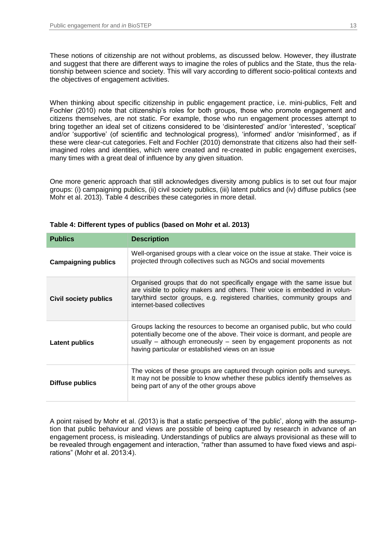These notions of citizenship are not without problems, as discussed below. However, they illustrate and suggest that there are different ways to imagine the roles of publics and the State, thus the relationship between science and society. This will vary according to different socio-political contexts and the objectives of engagement activities.

When thinking about specific citizenship in public engagement practice, i.e. mini-publics, Felt and Fochler (2010) note that citizenship's roles for both groups, those who promote engagement and citizens themselves, are not static. For example, those who run engagement processes attempt to bring together an ideal set of citizens considered to be 'disinterested' and/or 'interested', 'sceptical' and/or 'supportive' (of scientific and technological progress), 'informed' and/or 'misinformed', as if these were clear-cut categories. Felt and Fochler (2010) demonstrate that citizens also had their selfimagined roles and identities, which were created and re-created in public engagement exercises, many times with a great deal of influence by any given situation.

One more generic approach that still acknowledges diversity among publics is to set out four major groups: (i) campaigning publics, (ii) civil society publics, (iii) latent publics and (iv) diffuse publics (see Mohr et al. 2013). Table 4 describes these categories in more detail.

| <b>Publics</b>             | <b>Description</b>                                                                                                                                                                                                                                                                      |  |
|----------------------------|-----------------------------------------------------------------------------------------------------------------------------------------------------------------------------------------------------------------------------------------------------------------------------------------|--|
| <b>Campaigning publics</b> | Well-organised groups with a clear voice on the issue at stake. Their voice is<br>projected through collectives such as NGOs and social movements                                                                                                                                       |  |
| Civil society publics      | Organised groups that do not specifically engage with the same issue but<br>are visible to policy makers and others. Their voice is embedded in volun-<br>tary/third sector groups, e.g. registered charities, community groups and<br>internet-based collectives                       |  |
| <b>Latent publics</b>      | Groups lacking the resources to become an organised public, but who could<br>potentially become one of the above. Their voice is dormant, and people are<br>usually – although erroneously – seen by engagement proponents as not<br>having particular or established views on an issue |  |
| <b>Diffuse publics</b>     | The voices of these groups are captured through opinion polls and surveys.<br>It may not be possible to know whether these publics identify themselves as<br>being part of any of the other groups above                                                                                |  |

#### **Table 4: Different types of publics (based on Mohr et al. 2013)**

A point raised by Mohr et al. (2013) is that a static perspective of 'the public', along with the assumption that public behaviour and views are possible of being captured by research in advance of an engagement process, is misleading. Understandings of publics are always provisional as these will to be revealed through engagement and interaction, "rather than assumed to have fixed views and aspirations" (Mohr et al. 2013:4).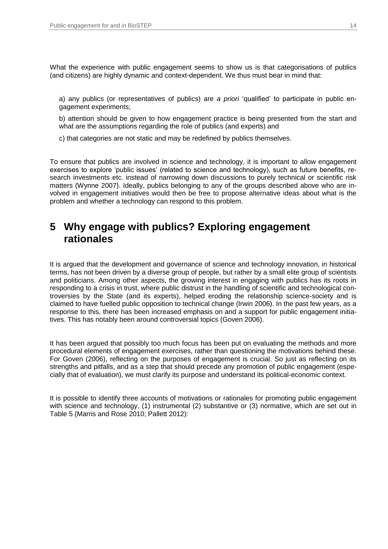What the experience with public engagement seems to show us is that categorisations of publics (and citizens) are highly dynamic and context-dependent. We thus must bear in mind that:

a) any publics (or representatives of publics) are *a priori* 'qualified' to participate in public engagement experiments;

b) attention should be given to how engagement practice is being presented from the start and what are the assumptions regarding the role of publics (and experts) and

c) that categories are not static and may be redefined by publics themselves.

To ensure that publics are involved in science and technology, it is important to allow engagement exercises to explore 'public issues' (related to science and technology), such as future benefits, research investments etc. instead of narrowing down discussions to purely technical or scientific risk matters (Wynne 2007). Ideally, publics belonging to any of the groups described above who are involved in engagement initiatives would then be free to propose alternative ideas about what is the problem and whether a technology can respond to this problem.

## <span id="page-13-0"></span>**5 Why engage with publics? Exploring engagement rationales**

It is argued that the development and governance of science and technology innovation, in historical terms, has not been driven by a diverse group of people, but rather by a small elite group of scientists and politicians. Among other aspects, the growing interest in engaging with publics has its roots in responding to a crisis in trust, where public distrust in the handling of scientific and technological controversies by the State (and its experts), helped eroding the relationship science-society and is claimed to have fuelled public opposition to technical change (Irwin 2006). In the past few years, as a response to this, there has been increased emphasis on and a support for public engagement initiatives. This has notably been around controversial topics (Goven 2006).

It has been argued that possibly too much focus has been put on evaluating the methods and more procedural elements of engagement exercises, rather than questioning the motivations behind these. For Goven (2006), reflecting on the purposes of engagement is crucial. So just as reflecting on its strengths and pitfalls, and as a step that should precede any promotion of public engagement (especially that of evaluation), we must clarify its purpose and understand its political-economic context.

It is possible to identify three accounts of motivations or rationales for promoting public engagement with science and technology, (1) instrumental (2) substantive or (3) normative, which are set out in Table 5 (Marris and Rose 2010; Pallett 2012):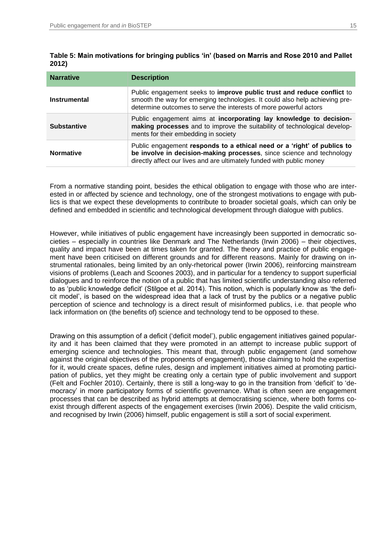| <b>Narrative</b>   | <b>Description</b>                                                                                                                                                                                                         |  |
|--------------------|----------------------------------------------------------------------------------------------------------------------------------------------------------------------------------------------------------------------------|--|
| Instrumental       | Public engagement seeks to improve public trust and reduce conflict to<br>smooth the way for emerging technologies. It could also help achieving pre-<br>determine outcomes to serve the interests of more powerful actors |  |
| <b>Substantive</b> | Public engagement aims at incorporating lay knowledge to decision-<br>making processes and to improve the suitability of technological develop-<br>ments for their embedding in society                                    |  |
| <b>Normative</b>   | Public engagement responds to a ethical need or a 'right' of publics to<br>be involve in decision-making processes, since science and technology<br>directly affect our lives and are ultimately funded with public money  |  |

**Table 5: Main motivations for bringing publics 'in' (based on Marris and Rose 2010 and Pallet 2012)**

From a normative standing point, besides the ethical obligation to engage with those who are interested in or affected by science and technology, one of the strongest motivations to engage with publics is that we expect these developments to contribute to broader societal goals, which can only be defined and embedded in scientific and technological development through dialogue with publics.

However, while initiatives of public engagement have increasingly been supported in democratic societies – especially in countries like Denmark and The Netherlands (Irwin 2006) – their objectives, quality and impact have been at times taken for granted. The theory and practice of public engagement have been criticised on different grounds and for different reasons. Mainly for drawing on instrumental rationales, being limited by an only-rhetorical power (Irwin 2006), reinforcing mainstream visions of problems (Leach and Scoones 2003), and in particular for a tendency to support superficial dialogues and to reinforce the notion of a public that has limited scientific understanding also referred to as 'public knowledge deficit' (Stilgoe et al. 2014). This notion, which is popularly know as 'the deficit model', is based on the widespread idea that a lack of trust by the publics or a negative public perception of science and technology is a direct result of misinformed publics, i.e. that people who lack information on (the benefits of) science and technology tend to be opposed to these.

Drawing on this assumption of a deficit ('deficit model'), public engagement initiatives gained popularity and it has been claimed that they were promoted in an attempt to increase public support of emerging science and technologies. This meant that, through public engagement (and somehow against the original objectives of the proponents of engagement), those claiming to hold the expertise for it, would create spaces, define rules, design and implement initiatives aimed at promoting participation of publics, yet they might be creating only a certain type of public involvement and support (Felt and Fochler 2010). Certainly, there is still a long-way to go in the transition from 'deficit' to 'democracy' in more participatory forms of scientific governance. What is often seen are engagement processes that can be described as hybrid attempts at democratising science, where both forms coexist through different aspects of the engagement exercises (Irwin 2006). Despite the valid criticism, and recognised by Irwin (2006) himself, public engagement is still a sort of social experiment.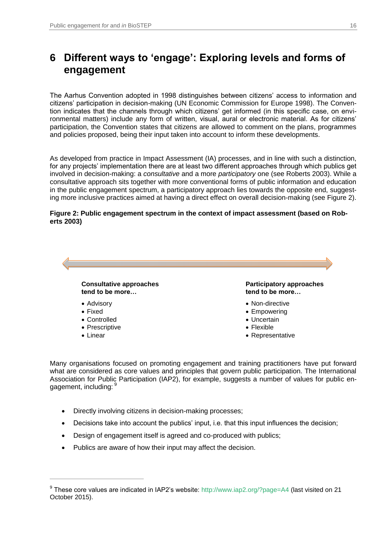# <span id="page-15-0"></span>**6 Different ways to 'engage': Exploring levels and forms of engagement**

The Aarhus Convention adopted in 1998 distinguishes between citizens' access to information and citizens' participation in decision-making (UN Economic Commission for Europe 1998). The Convention indicates that the channels through which citizens' get informed (in this specific case, on environmental matters) include any form of written, visual, aural or electronic material. As for citizens' participation, the Convention states that citizens are allowed to comment on the plans, programmes and policies proposed, being their input taken into account to inform these developments.

As developed from practice in Impact Assessment (IA) processes, and in line with such a distinction, for any projects' implementation there are at least two different approaches through which publics get involved in decision-making: a *consultative* and a more *participatory* one (see Roberts 2003). While a consultative approach sits together with more conventional forms of public information and education in the public engagement spectrum, a participatory approach lies towards the opposite end, suggesting more inclusive practices aimed at having a direct effect on overall decision-making (see Figure 2).

#### **Figure 2: Public engagement spectrum in the context of impact assessment (based on Roberts 2003)**



Many organisations focused on promoting engagement and training practitioners have put forward what are considered as core values and principles that govern public participation. The International Association for Public Participation (IAP2), for example, suggests a number of values for public engagement, including: 9

- Directly involving citizens in decision-making processes;
- Decisions take into account the publics' input, i.e. that this input influences the decision;
- Design of engagement itself is agreed and co-produced with publics;
- Publics are aware of how their input may affect the decision.

 $\overline{a}$ 

<sup>&</sup>lt;sup>9</sup> These core values are indicated in IAP2's website: [http://www.iap2.org/?page=A4](https://www.iap2.org/?page=A4) (last visited on 21 October 2015).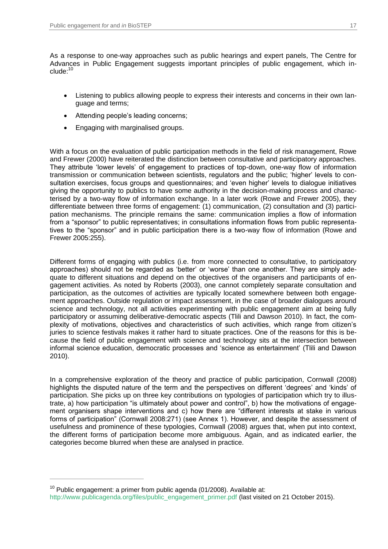$\overline{a}$ 

As a response to one-way approaches such as public hearings and expert panels, The Centre for Advances in Public Engagement suggests important principles of public engagement, which include<sup>-10</sup>

- Listening to publics allowing people to express their interests and concerns in their own language and terms;
- Attending people's leading concerns;
- Engaging with marginalised groups.

With a focus on the evaluation of public participation methods in the field of risk management, Rowe and Frewer (2000) have reiterated the distinction between consultative and participatory approaches. They attribute 'lower levels' of engagement to practices of top-down, one-way flow of information transmission or communication between scientists, regulators and the public; 'higher' levels to consultation exercises, focus groups and questionnaires; and 'even higher' levels to dialogue initiatives giving the opportunity to publics to have some authority in the decision-making process and characterised by a two-way flow of information exchange. In a later work (Rowe and Frewer 2005), they differentiate between three forms of engagement: (1) communication, (2) consultation and (3) participation mechanisms. The principle remains the same: communication implies a flow of information from a "sponsor" to public representatives; in consultations information flows from public representatives to the "sponsor" and in public participation there is a two-way flow of information (Rowe and Frewer 2005:255).

Different forms of engaging with publics (i.e. from more connected to consultative, to participatory approaches) should not be regarded as 'better' or 'worse' than one another. They are simply adequate to different situations and depend on the objectives of the organisers and participants of engagement activities. As noted by Roberts (2003), one cannot completely separate consultation and participation, as the outcomes of activities are typically located somewhere between both engagement approaches. Outside regulation or impact assessment, in the case of broader dialogues around science and technology, not all activities experimenting with public engagement aim at being fully participatory or assuming deliberative-democratic aspects (Tlili and Dawson 2010). In fact, the complexity of motivations, objectives and characteristics of such activities, which range from citizen's juries to science festivals makes it rather hard to situate practices. One of the reasons for this is because the field of public engagement with science and technology sits at the intersection between informal science education, democratic processes and 'science as entertainment' (Tlili and Dawson 2010).

In a comprehensive exploration of the theory and practice of public participation, Cornwall (2008) highlights the disputed nature of the term and the perspectives on different 'degrees' and 'kinds' of participation. She picks up on three key contributions on typologies of participation which try to illustrate, a) how participation "is ultimately about power and control", b) how the motivations of engagement organisers shape interventions and c) how there are "different interests at stake in various forms of participation" (Cornwall 2008:271) (see Annex 1). However, and despite the assessment of usefulness and prominence of these typologies, Cornwall (2008) argues that, when put into context, the different forms of participation become more ambiguous. Again, and as indicated earlier, the categories become blurred when these are analysed in practice.

 $10$  Public engagement: a primer from public agenda (01/2008). Available at: [http://www.publicagenda.org/files/public\\_engagement\\_primer.pdf](https://www.publicagenda.org/files/public_engagement_primer.pdf) (last visited on 21 October 2015).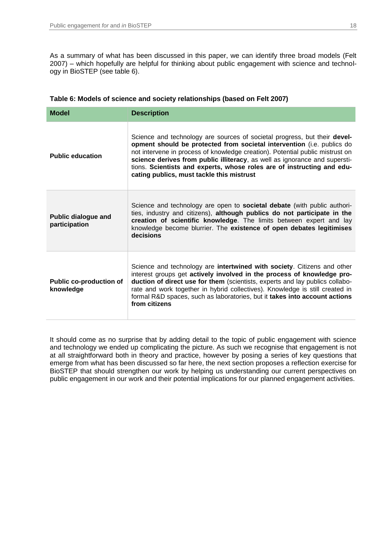As a summary of what has been discussed in this paper, we can identify three broad models (Felt 2007) – which hopefully are helpful for thinking about public engagement with science and technology in BioSTEP (see table 6).

| <b>Model</b>                                | <b>Description</b>                                                                                                                                                                                                                                                                                                                                                                                                                               |  |
|---------------------------------------------|--------------------------------------------------------------------------------------------------------------------------------------------------------------------------------------------------------------------------------------------------------------------------------------------------------------------------------------------------------------------------------------------------------------------------------------------------|--|
| <b>Public education</b>                     | Science and technology are sources of societal progress, but their <b>devel-</b><br>opment should be protected from societal intervention (i.e. publics do<br>not intervene in process of knowledge creation). Potential public mistrust on<br>science derives from public illiteracy, as well as ignorance and supersti-<br>tions. Scientists and experts, whose roles are of instructing and edu-<br>cating publics, must tackle this mistrust |  |
| <b>Public dialogue and</b><br>participation | Science and technology are open to <b>societal debate</b> (with public authori-<br>ties, industry and citizens), although publics do not participate in the<br>creation of scientific knowledge. The limits between expert and lay<br>knowledge become blurrier. The existence of open debates legitimises<br>decisions                                                                                                                          |  |
| <b>Public co-production of</b><br>knowledge | Science and technology are intertwined with society. Citizens and other<br>interest groups get actively involved in the process of knowledge pro-<br>duction of direct use for them (scientists, experts and lay publics collabo-<br>rate and work together in hybrid collectives). Knowledge is still created in<br>formal R&D spaces, such as laboratories, but it takes into account actions<br>from citizens                                 |  |

#### **Table 6: Models of science and society relationships (based on Felt 2007)**

It should come as no surprise that by adding detail to the topic of public engagement with science and technology we ended up complicating the picture. As such we recognise that engagement is not at all straightforward both in theory and practice, however by posing a series of key questions that emerge from what has been discussed so far here, the next section proposes a reflection exercise for BioSTEP that should strengthen our work by helping us understanding our current perspectives on public engagement in our work and their potential implications for our planned engagement activities.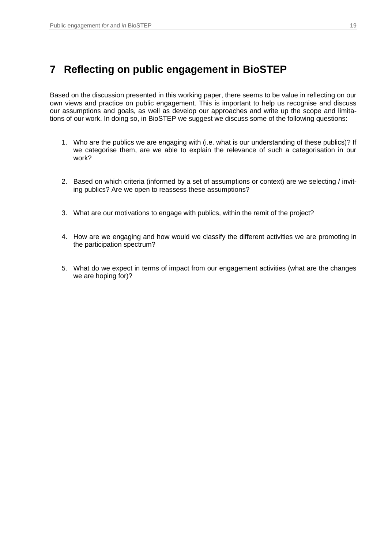# <span id="page-18-0"></span>**7 Reflecting on public engagement in BioSTEP**

Based on the discussion presented in this working paper, there seems to be value in reflecting on our own views and practice on public engagement. This is important to help us recognise and discuss our assumptions and goals, as well as develop our approaches and write up the scope and limitations of our work. In doing so, in BioSTEP we suggest we discuss some of the following questions:

- 1. Who are the publics we are engaging with (i.e. what is our understanding of these publics)? If we categorise them, are we able to explain the relevance of such a categorisation in our work?
- 2. Based on which criteria (informed by a set of assumptions or context) are we selecting / inviting publics? Are we open to reassess these assumptions?
- 3. What are our motivations to engage with publics, within the remit of the project?
- 4. How are we engaging and how would we classify the different activities we are promoting in the participation spectrum?
- 5. What do we expect in terms of impact from our engagement activities (what are the changes we are hoping for)?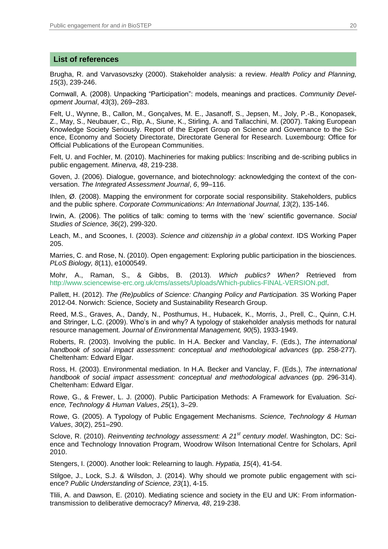#### **List of references**

Brugha, R. and Varvasovszky (2000). Stakeholder analysis: a review. *Health Policy and Planning, 15*(3), 239-246.

Cornwall, A. (2008). Unpacking "Participation": models, meanings and practices. *Community Development Journal*, *43*(3), 269–283.

Felt, U., Wynne, B., Callon, M., Gonçalves, M. E., Jasanoff, S., Jepsen, M., Joly, P.-B., Konopasek, Z., May, S., Neubauer, C., Rip, A., Siune, K., Stirling, A. and Tallacchini, M. (2007). Taking European Knowledge Society Seriously. Report of the Expert Group on Science and Governance to the Science, Economy and Society Directorate, Directorate General for Research. Luxembourg: Office for Official Publications of the European Communities.

Felt, U. and Fochler, M. (2010). Machineries for making publics: Inscribing and de-scribing publics in public engagement. *Minerva, 48*, 219-238.

Goven, J. (2006). Dialogue, governance, and biotechnology: acknowledging the context of the conversation. *The Integrated Assessment Journal*, *6*, 99–116.

Ihlen, Ø. (2008). Mapping the environment for corporate social responsibility. Stakeholders, publics and the public sphere. *Corporate Communications: An International Journal, 13*(2), 135-146.

Irwin, A. (2006). The politics of talk: coming to terms with the 'new' scientific governance. *Social Studies of Science, 36*(2), 299-320.

Leach, M., and Scoones, I. (2003). *Science and citizenship in a global context*. IDS Working Paper 205.

Marries, C. and Rose, N. (2010). Open engagement: Exploring public participation in the biosciences. *PLoS Biology, 8*(11), e1000549.

Mohr, A., Raman, S., & Gibbs, B. (2013). *Which publics? When?* Retrieved from [http://www.sciencewise-erc.org.uk/cms/assets/Uploads/Which-publics-FINAL-VERSION.pdf.](https://www.sciencewise-erc.org.uk/cms/assets/Uploads/Which-publics-FINAL-VERSION.pdf)

Pallett, H. (2012). *The (Re)publics of Science: Changing Policy and Participation.* 3S Working Paper 2012-04. Norwich: Science, Society and Sustainability Research Group.

Reed, M.S., Graves, A., Dandy, N., Posthumus, H., Hubacek, K., Morris, J., Prell, C., Quinn, C.H. and Stringer, L.C. (2009). Who's in and why? A typology of stakeholder analysis methods for natural resource management. *Journal of Environmental Management, 90*(5), 1933-1949.

Roberts, R. (2003). Involving the public. In H.A. Becker and Vanclay, F. (Eds.), *The international*  handbook of social impact assessment: conceptual and methodological advances (pp. 258-277). Cheltenham: Edward Elgar.

Ross, H. (2003). Environmental mediation. In H.A. Becker and Vanclay, F. (Eds.), *The international*  handbook of social impact assessment: conceptual and methodological advances (pp. 296-314). Cheltenham: Edward Elgar.

Rowe, G., & Frewer, L. J. (2000). Public Participation Methods: A Framework for Evaluation. *Science, Technology & Human Values*, *25*(1), 3–29.

Rowe, G. (2005). A Typology of Public Engagement Mechanisms. *Science, Technology & Human Values*, *30*(2), 251–290.

Sclove, R. (2010). *Reinventing technology assessment: A 21st century model*. Washington, DC: Science and Technology Innovation Program, Woodrow Wilson International Centre for Scholars, April 2010.

Stengers, I. (2000). Another look: Relearning to laugh. *Hypatia, 15*(4), 41-54.

Stilgoe, J., Lock, S.J. & Wilsdon, J. (2014). Why should we promote public engagement with science? *Public Understanding of Science, 23*(1), 4-15.

Tlili, A. and Dawson, E. (2010). Mediating science and society in the EU and UK: From informationtransmission to deliberative democracy? *Minerva, 48*, 219-238.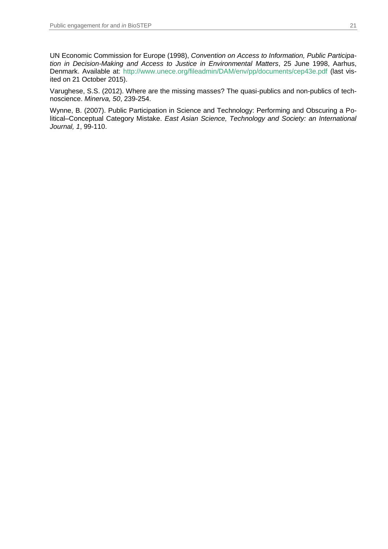UN Economic Commission for Europe (1998), *Convention on Access to Information, Public Participation in Decision-Making and Access to Justice in Environmental Matters*, 25 June 1998, Aarhus, Denmark. Available at: [http://www.unece.org/fileadmin/DAM/env/pp/documents/cep43e.pdf](https://www.unece.org/fileadmin/DAM/env/pp/documents/cep43e.pdf) (last visited on 21 October 2015).

Varughese, S.S. (2012). Where are the missing masses? The quasi-publics and non-publics of technoscience. *Minerva, 50*, 239-254.

Wynne, B. (2007). Public Participation in Science and Technology: Performing and Obscuring a Political–Conceptual Category Mistake. *East Asian Science, Technology and Society: an International Journal, 1*, 99-110.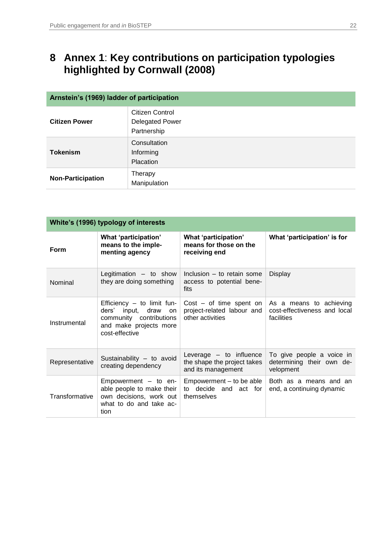# <span id="page-21-0"></span>**8 Annex 1**: **Key contributions on participation typologies highlighted by Cornwall (2008)**

| Arnstein's (1969) ladder of participation |                                                          |  |
|-------------------------------------------|----------------------------------------------------------|--|
| <b>Citizen Power</b>                      | Citizen Control<br><b>Delegated Power</b><br>Partnership |  |
| <b>Tokenism</b>                           | Consultation<br>Informing<br>Placation                   |  |
| <b>Non-Participation</b>                  | Therapy<br>Manipulation                                  |  |

| White's (1996) typology of interests |                                                                                                                                       |                                                                                |                                                                       |  |  |
|--------------------------------------|---------------------------------------------------------------------------------------------------------------------------------------|--------------------------------------------------------------------------------|-----------------------------------------------------------------------|--|--|
| <b>Form</b>                          | What 'participation'<br>means to the imple-<br>menting agency                                                                         | What 'participation'<br>means for those on the<br>receiving end                | What 'participation' is for                                           |  |  |
| Nominal                              | Legitimation - to show<br>they are doing something                                                                                    | Inclusion - to retain some<br>access to potential bene-<br>fits                | <b>Display</b>                                                        |  |  |
| Instrumental                         | Efficiency $-$ to limit fun-<br>ders' input, draw<br><b>on</b><br>community contributions<br>and make projects more<br>cost-effective | $Cost - of time spent on$<br>project-related labour and<br>other activities    | As a means to achieving<br>cost-effectiveness and local<br>facilities |  |  |
| Representative                       | Sustainability - to avoid<br>creating dependency                                                                                      | Leverage $-$ to influence<br>the shape the project takes<br>and its management | To give people a voice in<br>determining their own de-<br>velopment   |  |  |
| Transformative                       | $Empowerment - to en-$<br>able people to make their<br>own decisions, work out<br>what to do and take ac-<br>tion                     | Empowerment – to be able<br>to decide and act for<br>themselves                | Both as a means and an<br>end, a continuing dynamic                   |  |  |